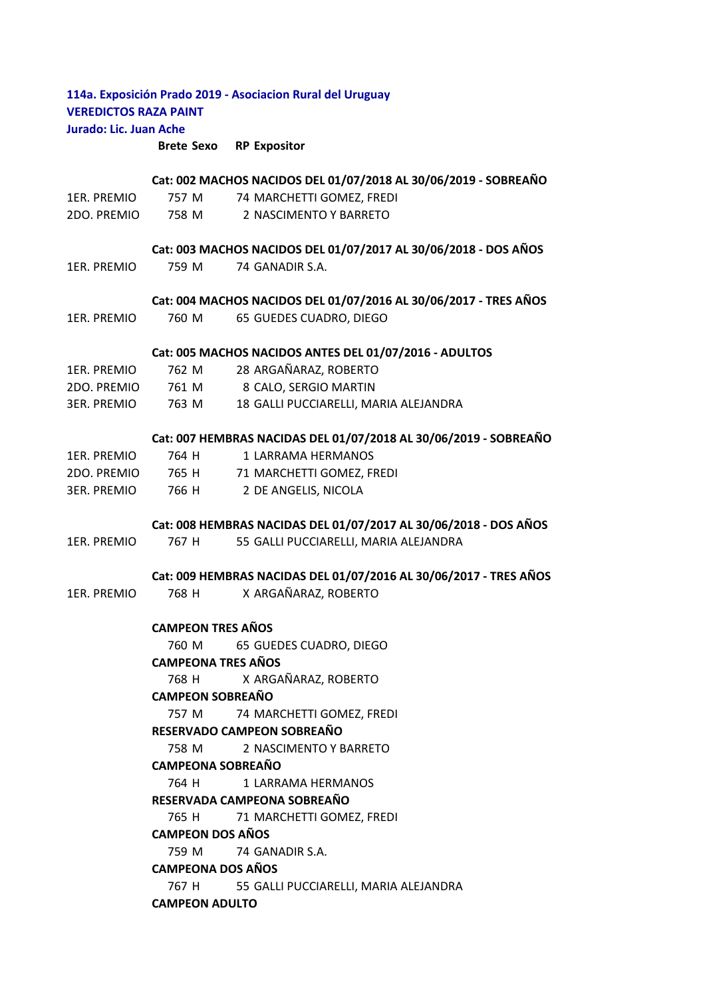## **114a. Exposición Prado 2019 - Asociacion Rural del Uruguay VEREDICTOS RAZA PAINT Jurado: Lic. Juan Ache**

**Brete Sexo RP Expositor**

## 1ER. PREMIO 757 M 74 MARCHETTI GOMEZ, FREDI 2DO. PREMIO 758 M 2 NASCIMENTO Y BARRETO 1ER. PREMIO 759 M 74 GANADIR S.A. 1ER. PREMIO 760 M 65 GUEDES CUADRO, DIEGO 1ER. PREMIO 762 M 28 ARGAÑARAZ, ROBERTO 2DO. PREMIO 761 M 8 CALO, SERGIO MARTIN 3ER. PREMIO 763 M 18 GALLI PUCCIARELLI, MARIA ALEJANDRA 1ER. PREMIO 764 H 1 LARRAMA HERMANOS 2DO. PREMIO 765 H 71 MARCHETTI GOMEZ, FREDI 3ER. PREMIO 766 H 2 DE ANGELIS, NICOLA 1ER. PREMIO 767 H 55 GALLI PUCCIARELLI, MARIA ALEJANDRA 1ER. PREMIO 768 H X ARGAÑARAZ, ROBERTO 760 M 65 GUEDES CUADRO, DIEGO 768 H X ARGAÑARAZ, ROBERTO 757 M 74 MARCHETTI GOMEZ, FREDI 758 M 2 NASCIMENTO Y BARRETO 764 H 1 LARRAMA HERMANOS 765 H 71 MARCHETTI GOMEZ, FREDI 759 M 74 GANADIR S.A. 767 H 55 GALLI PUCCIARELLI, MARIA ALEJANDRA **CAMPEON ADULTO CAMPEON SOBREAÑO RESERVADO CAMPEON SOBREAÑO CAMPEONA SOBREAÑO RESERVADA CAMPEONA SOBREAÑO CAMPEON DOS AÑOS CAMPEONA DOS AÑOS Cat: 005 MACHOS NACIDOS ANTES DEL 01/07/2016 - ADULTOS Cat: 007 HEMBRAS NACIDAS DEL 01/07/2018 AL 30/06/2019 - SOBREAÑO Cat: 008 HEMBRAS NACIDAS DEL 01/07/2017 AL 30/06/2018 - DOS AÑOS Cat: 009 HEMBRAS NACIDAS DEL 01/07/2016 AL 30/06/2017 - TRES AÑOS CAMPEON TRES AÑOS CAMPEONA TRES AÑOS Cat: 002 MACHOS NACIDOS DEL 01/07/2018 AL 30/06/2019 - SOBREAÑO Cat: 003 MACHOS NACIDOS DEL 01/07/2017 AL 30/06/2018 - DOS AÑOS Cat: 004 MACHOS NACIDOS DEL 01/07/2016 AL 30/06/2017 - TRES AÑOS**